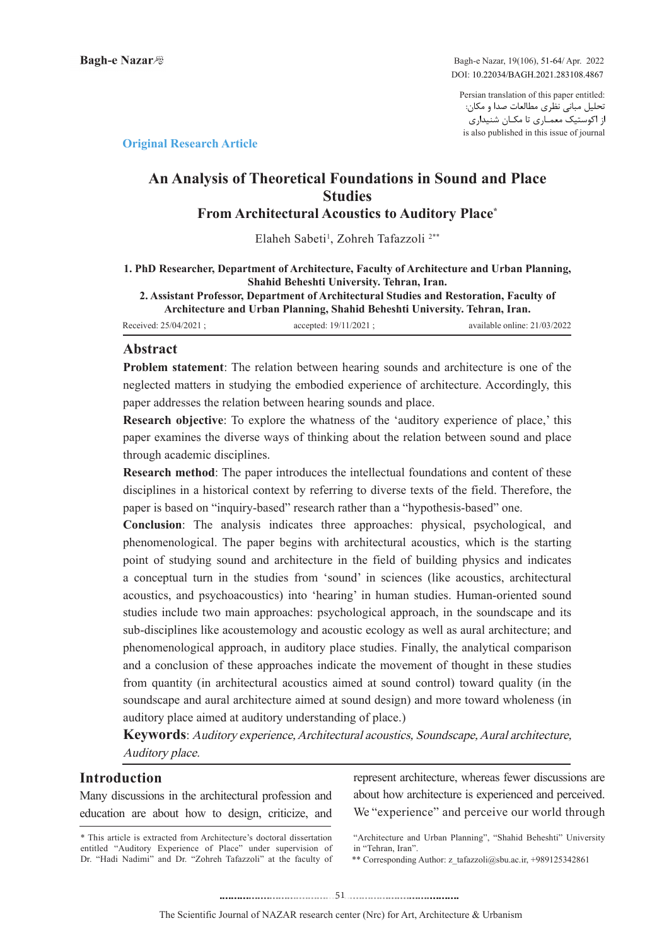Bagh-e Nazar, 19(106), 51-64/ Apr. 2022 DOI: 10.22034/BAGH.2021.283108.4867

Persian translation of this paper entitled: تحلیل مبانی نظری مطالعات صدا و مکان: از اکوستیک معمـاری تا مکـان شنیداری is also published in this issue of journal

### **Article Research Article**

# **An Analysis of Theoretical Foundations in Sound and Place Studies** From Architectural Acoustics to Auditory Place<sup>\*</sup>

Elaheh Sabeti<sup>1</sup>, Zohreh Tafazzoli<sup>2\*\*</sup>

1. PhD Researcher, Department of Architecture, Faculty of Architecture and Urban Planning, **Shahid Beheshti University. Tehran, Iran. 2. Assistant Professor, Department of Architectural Studies and Restoration, Faculty of** 

Architecture and Urban Planning, Shahid Beheshti University. Tehran, Iran.

Received: 25/04/2021 ; accepted: 19/11/2021 ; available online: 21/03/2022

### **Abstract**

**Problem statement:** The relation between hearing sounds and architecture is one of the neglected matters in studying the embodied experience of architecture. Accordingly, this paper addresses the relation between hearing sounds and place.

**Research objective:** To explore the whatness of the 'auditory experience of place,' this paper examines the diverse ways of thinking about the relation between sound and place through academic disciplines.

Research method: The paper introduces the intellectual foundations and content of these disciplines in a historical context by referring to diverse texts of the field. Therefore, the paper is based on "inquiry-based" research rather than a "hypothesis-based" one.

**Conclusion:** The analysis indicates three approaches: physical, psychological, and phenomenological. The paper begins with architectural acoustics, which is the starting point of studying sound and architecture in the field of building physics and indicates a conceptual turn in the studies from 'sound' in sciences (like acoustics, architectural acoustics, and psychoacoustics) into 'hearing' in human studies. Human-oriented sound studies include two main approaches: psychological approach, in the soundscape and its sub-disciplines like acoustemology and acoustic ecology as well as aural architecture; and phenomenological approach, in auditory place studies. Finally, the analytical comparison and a conclusion of these approaches indicate the movement of thought in these studies from quantity (in architectural acoustics aimed at sound control) toward quality (in the soundscape and aural architecture aimed at sound design) and more toward wholeness (in auditory place aimed at auditory understanding of place.)

Keywords: Auditory experience, Architectural acoustics, Soundscape, Aural architecture, Auditory place.

### **Introduction**

Many discussions in the architectural profession and education are about how to design, criticize, and represent architecture, whereas fewer discussions are about how architecture is experienced and perceived. We "experience" and perceive our world through

<sup>\*</sup> This article is extracted from Architecture's doctoral dissertation entitled "Auditory Experience of Place" under supervision of Dr. "Hadi Nadimi" and Dr. "Zohreh Tafazzoli" at the faculty of

<sup>&</sup>quot;Architecture and Urban Planning", "Shahid Beheshti" University in "Tehran Iran"

<sup>\*\*</sup> Corresponding Author: z tafazzoli@sbu.ac.ir, +989125342861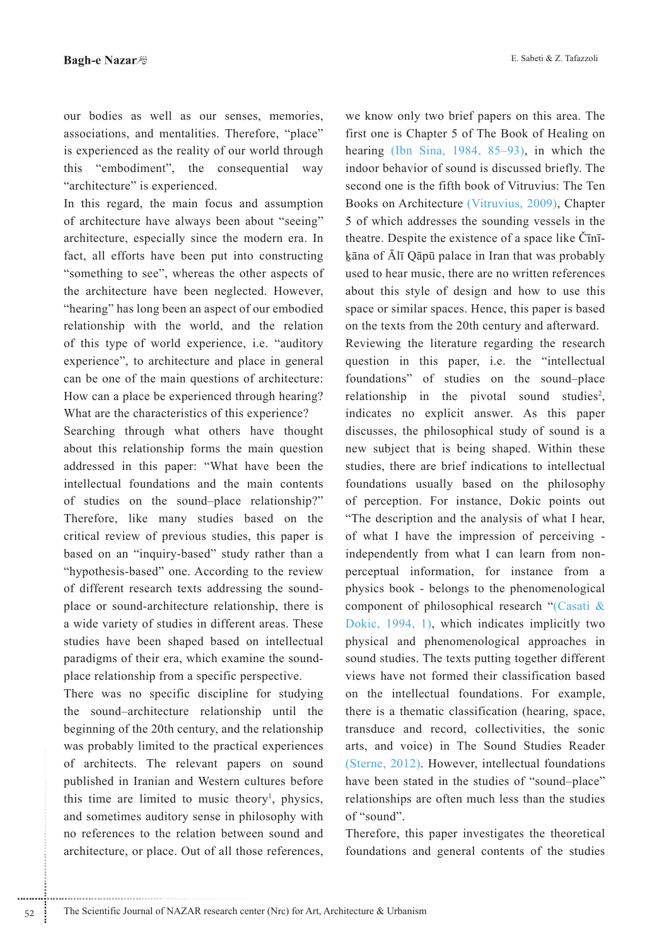our bodies as well as our senses, memories, associations, and mentalities. Therefore, "place" is experienced as the reality of our world through this "embodiment", the consequential way "architecture" is experienced.

In this regard, the main focus and assumption of architecture have always been about "seeing" architecture, especially since the modern era. In fact, all efforts have been put into constructing "something to see", whereas the other aspects of the architecture have been neglected. However, "hearing" has long been an aspect of our embodied relationship with the world, and the relation of this type of world experience, i.e. "auditory experience", to architecture and place in general can be one of the main questions of architecture: How can a place be experienced through hearing? What are the characteristics of this experience?

Searching through what others have thought about this relationship forms the main question addressed in this paper: "What have been the intellectual foundations and the main contents of studies on the sound-place relationship?" Therefore, like many studies based on the critical review of previous studies, this paper is based on an "inquiry-based" study rather than a "hypothesis-based" one. According to the review of different research texts addressing the soundplace or sound-architecture relationship, there is a wide variety of studies in different areas. These studies have been shaped based on intellectual paradigms of their era, which examine the soundplace relationship from a specific perspective.

There was no specific discipline for studying the sound-architecture relationship until the beginning of the 20th century, and the relationship was probably limited to the practical experiences of architects. The relevant papers on sound published in Iranian and Western cultures before this time are limited to music theory<sup>1</sup>, physics, and sometimes auditory sense in philosophy with no references to the relation between sound and architecture, or place. Out of all those references,

52

we know only two brief papers on this area. The first one is Chapter 5 of The Book of Healing on hearing (Ibn Sina, 1984, 85–93), in which the indoor behavior of sound is discussed briefly. The second one is the fifth book of Vitruvius: The Ten Books on Architecture (Vitruvius, 2009), Chapter 5 of which addresses the sounding vessels in the theatre. Despite the existence of a space like C<del>ini</del>kāna of Ālī Qāpū palace in Iran that was probably used to hear music, there are no written references about this style of design and how to use this space or similar spaces. Hence, this paper is based on the texts from the 20th century and afterward.

Reviewing the literature regarding the research question in this paper, i.e. the "intellectual foundations" of studies on the sound-place relationship in the pivotal sound studies<sup>2</sup>, indicates no explicit answer. As this paper discusses, the philosophical study of sound is a new subject that is being shaped. Within these studies, there are brief indications to intellectual foundations usually based on the philosophy of perception. For instance, Dokic points out "The description and the analysis of what I hear, of what I have the impression of perceiving independently from what I can learn from nonperceptual information, for instance from a physics book - belongs to the phenomenological component of philosophical research "(Casati & Dokic, 1994, 1), which indicates implicitly two physical and phenomenological approaches in sound studies. The texts putting together different views have not formed their classification based on the intellectual foundations. For example, there is a thematic classification (hearing, space, transduce and record, collectivities, the sonic arts, and voice) in The Sound Studies Reader (Sterne, 2012). However, intellectual foundations have been stated in the studies of "sound-place" relationships are often much less than the studies of "sound".

Therefore, this paper investigates the theoretical foundations and general contents of the studies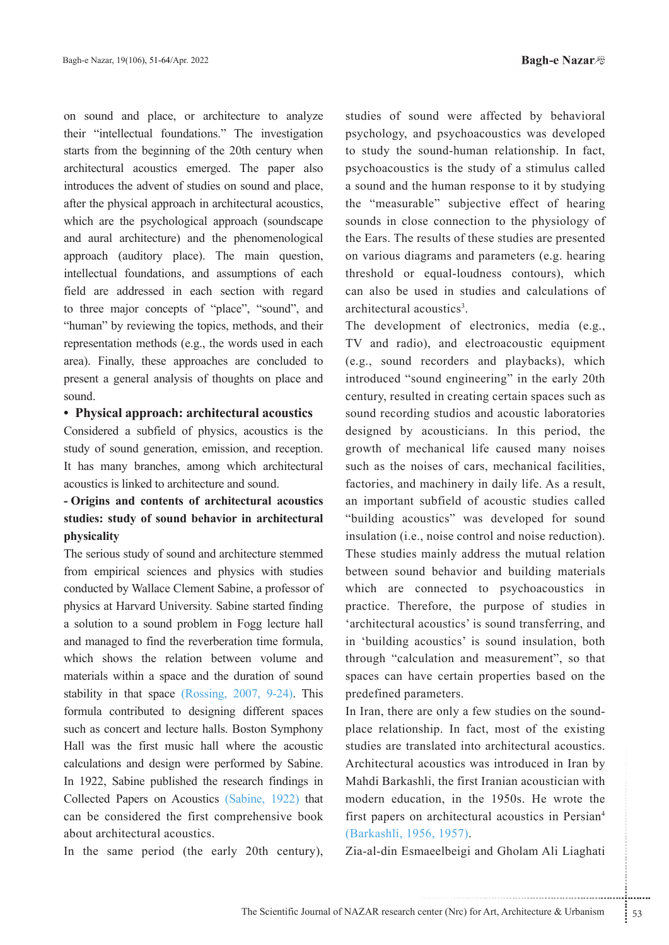on sound and place, or architecture to analyze their "intellectual foundations." The investigation starts from the beginning of the 20th century when architectural acoustics emerged. The paper also introduces the advent of studies on sound and place, after the physical approach in architectural acoustics, which are the psychological approach (soundscape and aural architecture) and the phenomenological approach (auditory place). The main question, intellectual foundations, and assumptions of each field are addressed in each section with regard to three major concepts of "place", "sound", and "human" by reviewing the topics, methods, and their representation methods (e.g., the words used in each area). Finally, these approaches are concluded to present a general analysis of thoughts on place and sound.

#### • Physical approach: architectural acoustics

Considered a subfield of physics, acoustics is the study of sound generation, emission, and reception. It has many branches, among which architectural acoustics is linked to architecture and sound.

# **- Origins and contents of architectural acoustics** studies: study of sound behavior in architectural **physicality**

The serious study of sound and architecture stemmed from empirical sciences and physics with studies conducted by Wallace Clement Sabine, a professor of physics at Harvard University. Sabine started finding a solution to a sound problem in Fogg lecture hall and managed to find the reverberation time formula, which shows the relation between volume and materials within a space and the duration of sound stability in that space (Rossing,  $2007$ ,  $9-24$ ). This formula contributed to designing different spaces such as concert and lecture halls. Boston Symphony Hall was the first music hall where the acoustic calculations and design were performed by Sabine. In 1922, Sabine published the research findings in Collected Papers on Acoustics (Sabine, 1922) that can be considered the first comprehensive book about architectural acoustics.

In the same period (the early  $20$ th century),

studies of sound were affected by behavioral psychology, and psychoacoustics was developed to study the sound-human relationship. In fact, psychoacoustics is the study of a stimulus called a sound and the human response to it by studying the "measurable" subjective effect of hearing sounds in close connection to the physiology of the Ears. The results of these studies are presented on various diagrams and parameters (e.g. hearing threshold or equal-loudness contours), which can also be used in studies and calculations of architectural acoustics<sup>3</sup>.

The development of electronics, media (e.g., TV and radio), and electroacoustic equipment (e.g., sound recorders and playbacks), which introduced "sound engineering" in the early 20th century, resulted in creating certain spaces such as sound recording studios and acoustic laboratories designed by acousticians. In this period, the growth of mechanical life caused many noises such as the noises of cars, mechanical facilities, factories, and machinery in daily life. As a result, an important subfield of acoustic studies called "building acoustics" was developed for sound insulation (i.e., noise control and noise reduction). These studies mainly address the mutual relation between sound behavior and building materials which are connected to psychoacoustics in practice. Therefore, the purpose of studies in 'architectural acoustics' is sound transferring, and in 'building acoustics' is sound insulation, both through "calculation and measurement", so that spaces can have certain properties based on the predefined parameters.

**Example 12.** and an interaction in France<br>
acoustics was introduced in Iran by<br>
ili, the first Iranian acoustician with<br>
in architectural acoustics in Persian<sup>4</sup><br>
56, 1957).<br>
aaeelbeigi and Gholam Ali Liaghati<br>
accelbeig place relationship. In fact, most of the existing In Iran, there are only a few studies on the soundstudies are translated into architectural acoustics. Architectural acoustics was introduced in Iran by Mahdi Barkashli, the first Iranian acoustician with modern education, in the 1950s. He wrote the first papers on architectural acoustics in Persian<sup>4</sup> (Barkashli, 1956, 1957).

Zia-al-din Esmaeelbeigi and Gholam Ali Liaghati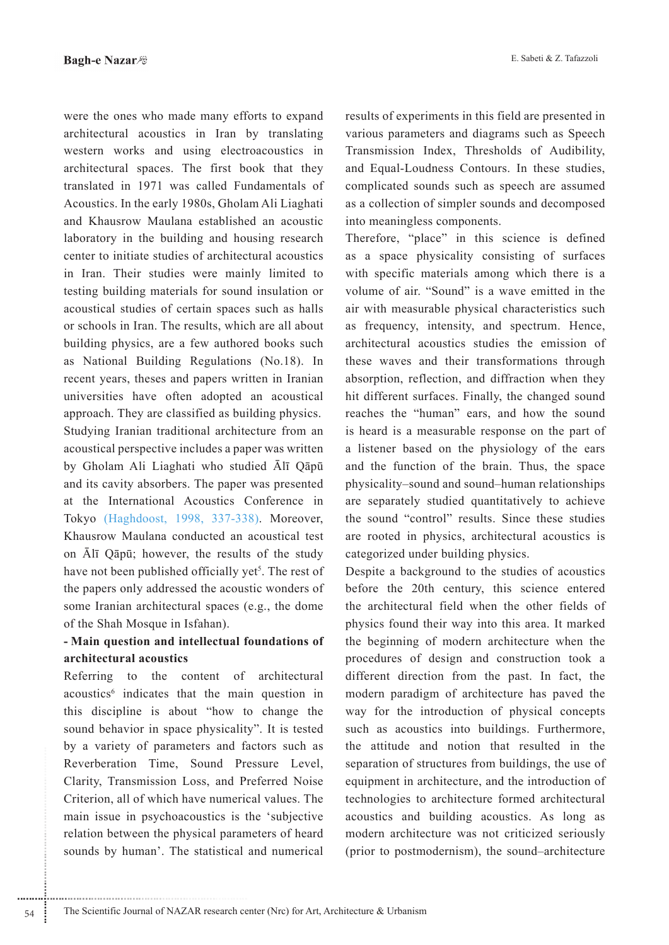E. Sabeti & Z. Tafazzoli

were the ones who made many efforts to expand architectural acoustics in Iran by translating western works and using electroacoustics in architectural spaces. The first book that they translated in 1971 was called Fundamentals of Acoustics. In the early 1980s, Gholam Ali Liaghati and Khausrow Maulana established an acoustic laboratory in the building and housing research center to initiate studies of architectural acoustics in Iran. Their studies were mainly limited to testing building materials for sound insulation or acoustical studies of certain spaces such as halls or schools in Iran. The results, which are all about building physics, are a few authored books such as National Building Regulations (No.18). In recent years, theses and papers written in Iranian universities have often adopted an acoustical approach. They are classified as building physics. Studying Iranian traditional architecture from an a coustical perspective includes a paper was written by Gholam Ali Liaghati who studied Alī Qāpū and its cavity absorbers. The paper was presented at the International Acoustics Conference in Tokyo (Haghdoost, 1998, 337-338). Moreover, Khausrow Maulana conducted an acoustical test on  $\bar{A}$ lī Qāpū; however, the results of the study have not been published officially yet<sup>5</sup>. The rest of the papers only addressed the acoustic wonders of some Iranian architectural spaces (e.g., the dome of the Shah Mosque in Isfahan).

# **- Main question and intellectual foundations of architectural** acoustics

Referring to the content of architectural acoustics<sup>6</sup> indicates that the main question in this discipline is about "how to change the sound behavior in space physicality". It is tested by a variety of parameters and factors such as Reverberation Time, Sound Pressure Level, Clarity, Transmission Loss, and Preferred Noise Criterion, all of which have numerical values. The main issue in psychoacoustics is the 'subjective relation between the physical parameters of heard sounds by human'. The statistical and numerical results of experiments in this field are presented in various parameters and diagrams such as Speech Transmission Index, Thresholds of Audibility, and Equal-Loudness Contours. In these studies, complicated sounds such as speech are assumed as a collection of simpler sounds and decomposed into meaningless components.

Therefore, "place" in this science is defined as a space physicality consisting of surfaces with specific materials among which there is a volume of air. "Sound" is a wave emitted in the air with measurable physical characteristics such as frequency, intensity, and spectrum. Hence, architectural acoustics studies the emission of these waves and their transformations through absorption, reflection, and diffraction when they hit different surfaces. Finally, the changed sound reaches the "human" ears, and how the sound is heard is a measurable response on the part of a listener based on the physiology of the ears and the function of the brain. Thus, the space physicality–sound and sound–human relationships are separately studied quantitatively to achieve the sound "control" results. Since these studies are rooted in physics, architectural acoustics is categorized under building physics.

Despite a background to the studies of acoustics before the 20th century, this science entered the architectural field when the other fields of physics found their way into this area. It marked the beginning of modern architecture when the procedures of design and construction took a different direction from the past. In fact, the modern paradigm of architecture has paved the way for the introduction of physical concepts such as acoustics into buildings. Furthermore, the attitude and notion that resulted in the separation of structures from buildings, the use of equipment in architecture, and the introduction of technologies to architecture formed architectural acoustics and building acoustics. As long as modern architecture was not criticized seriously (prior to postmodernism), the sound-architecture

............................................................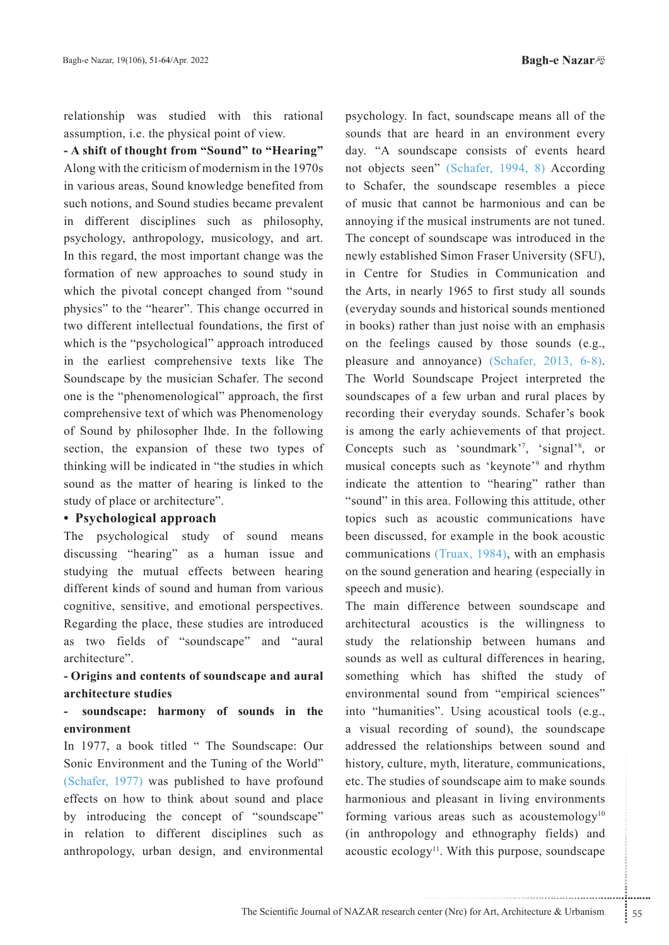relationship was studied with this rational assumption, i.e. the physical point of view.

- A shift of thought from "Sound" to "Hearing" Along with the criticism of modernism in the 1970s in various areas, Sound knowledge benefited from such notions, and Sound studies became prevalent in different disciplines such as philosophy, psychology, anthropology, musicology, and art. In this regard, the most important change was the formation of new approaches to sound study in which the pivotal concept changed from "sound" physics" to the "hearer". This change occurred in two different intellectual foundations, the first of which is the "psychological" approach introduced in the earliest comprehensive texts like The Soundscape by the musician Schafer. The second one is the "phenomenological" approach, the first comprehensive text of which was Phenomenology of Sound by philosopher Ihde. In the following section, the expansion of these two types of thinking will be indicated in "the studies in which sound as the matter of hearing is linked to the study of place or architecture".

#### • Psychological approach

The psychological study of sound means discussing "hearing" as a human issue and studying the mutual effects between hearing different kinds of sound and human from various cognitive, sensitive, and emotional perspectives. Regarding the place, these studies are introduced as two fields of "soundscape" and "aural architecture".

### - Origins and contents of soundscape and aural architecture studies

### soundscape: harmony of sounds in the environment

In 1977, a book titled "The Soundscape: Our Sonic Environment and the Tuning of the World" (Schafer, 1977) was published to have profound effects on how to think about sound and place by introducing the concept of "soundscape" in relation to different disciplines such as anthropology, urban design, and environmental psychology. In fact, soundscape means all of the sounds that are heard in an environment every day. "A soundscape consists of events heard not objects seen" (Schafer, 1994, 8) According to Schafer, the soundscape resembles a piece of music that cannot be harmonious and can be annoving if the musical instruments are not tuned. The concept of soundscape was introduced in the newly established Simon Fraser University (SFU), in Centre for Studies in Communication and the Arts, in nearly 1965 to first study all sounds (everyday sounds and historical sounds mentioned in books) rather than just noise with an emphasis on the feelings caused by those sounds (e.g., pleasure and annoyance) (Schafer, 2013, 6-8). The World Soundscape Project interpreted the soundscapes of a few urban and rural places by recording their everyday sounds. Schafer's book is among the early achievements of that project. Concepts such as 'soundmark'<sup>7</sup>, 'signal'<sup>8</sup>, or musical concepts such as 'keynote'<sup>9</sup> and rhythm indicate the attention to "hearing" rather than "sound" in this area. Following this attitude, other topics such as acoustic communications have been discussed, for example in the book acoustic communications (Truax, 1984), with an emphasis on the sound generation and hearing (especially in speech and music).

The main difference between soundscape and architectural acoustics is the willingness to study the relationship between humans and sounds as well as cultural differences in hearing, something which has shifted the study of environmental sound from "empirical sciences" into "humanities". Using acoustical tools (e.g., a visual recording of sound), the soundscape addressed the relationships between sound and history, culture, myth, literature, communications, etc. The studies of soundscape aim to make sounds harmonious and pleasant in living environments forming various areas such as acoustemology $10$ (in anthropology and ethnography fields) and acoustic ecology<sup>11</sup>. With this purpose, soundscape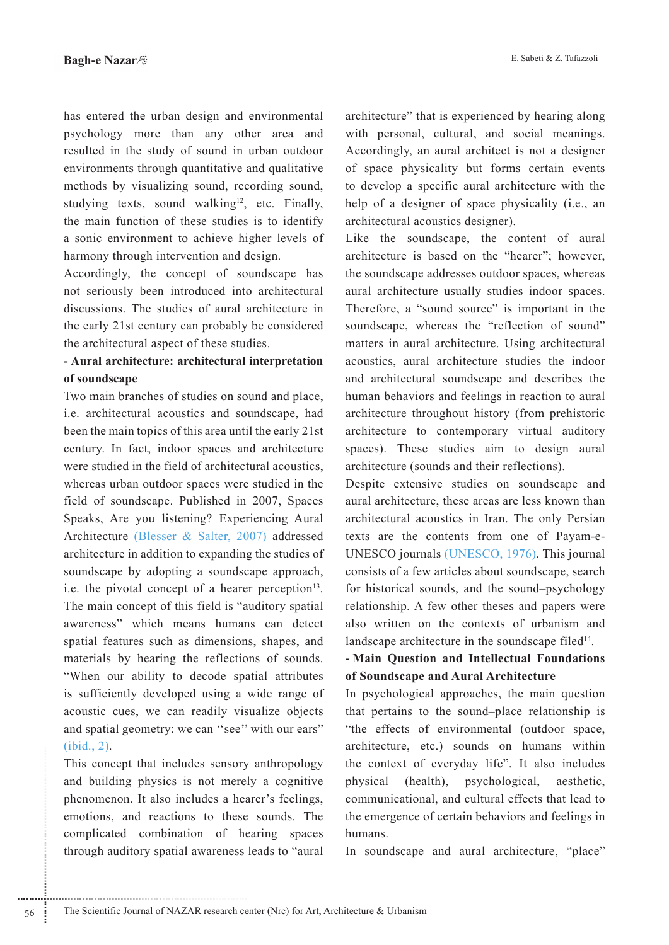has entered the urban design and environmental psychology more than any other area and resulted in the study of sound in urban outdoor environments through quantitative and qualitative methods by visualizing sound, recording sound, studying texts, sound walking<sup>12</sup>, etc. Finally, the main function of these studies is to identify a sonic environment to achieve higher levels of harmony through intervention and design.

Accordingly, the concept of soundscape has not seriously been introduced into architectural discussions. The studies of aural architecture in the early 21st century can probably be considered the architectural aspect of these studies.

# - Aural architecture: architectural interpretation **soundscape of**

Two main branches of studies on sound and place, i.e. architectural acoustics and soundscape, had been the main topics of this area until the early 21st century. In fact, indoor spaces and architecture were studied in the field of architectural acoustics, whereas urban outdoor spaces were studied in the field of soundscape. Published in 2007, Spaces Speaks, Are you listening? Experiencing Aural Architecture (Blesser & Salter, 2007) addressed architecture in addition to expanding the studies of soundscape by adopting a soundscape approach, i.e. the pivotal concept of a hearer perception  $13$ . The main concept of this field is "auditory spatial awareness" which means humans can detect spatial features such as dimensions, shapes, and materials by hearing the reflections of sounds. "When our ability to decode spatial attributes is sufficiently developed using a wide range of acoustic cues, we can readily visualize objects and spatial geometry: we can "see" with our ears"  $(ibid., 2)$ .

This concept that includes sensory anthropology and building physics is not merely a cognitive phenomenon. It also includes a hearer's feelings, emotions, and reactions to these sounds. The complicated combination of hearing spaces through auditory spatial awareness leads to "aural architecture" that is experienced by hearing along with personal, cultural, and social meanings. Accordingly, an aural architect is not a designer of space physicality but forms certain events to develop a specific aural architecture with the help of a designer of space physicality (i.e., an architectural acoustics designer).

Like the soundscape, the content of aural architecture is based on the "hearer"; however, the soundscape addresses outdoor spaces, whereas aural architecture usually studies indoor spaces. Therefore, a "sound source" is important in the sound scape, whereas the "reflection of sound" matters in aural architecture. Using architectural acoustics, aural architecture studies the indoor and architectural soundscape and describes the human behaviors and feelings in reaction to aural architecture throughout history (from prehistoric architecture to contemporary virtual auditory spaces). These studies aim to design aural architecture (sounds and their reflections).

Despite extensive studies on soundscape and aural architecture, these areas are less known than architectural acoustics in Iran. The only Persian texts are the contents from one of Payam-e-<br>UNESCO journals (UNESCO, 1976). This journal consists of a few articles about soundscape, search for historical sounds, and the sound-psychology relationship. A few other theses and papers were also written on the contexts of urbanism and landscape architecture in the soundscape filed $14$ .

## **- Main Question and Intellectual Foundations Architecture and Aural Architecture**

In psychological approaches, the main question that pertains to the sound-place relationship is "the effects of environmental (outdoor space, architecture, etc.) sounds on humans within the context of everyday life". It also includes physical (health), psychological, aesthetic, communicational, and cultural effects that lead to the emergence of certain behaviors and feelings in humans.

In soundscape and aural architecture, "place"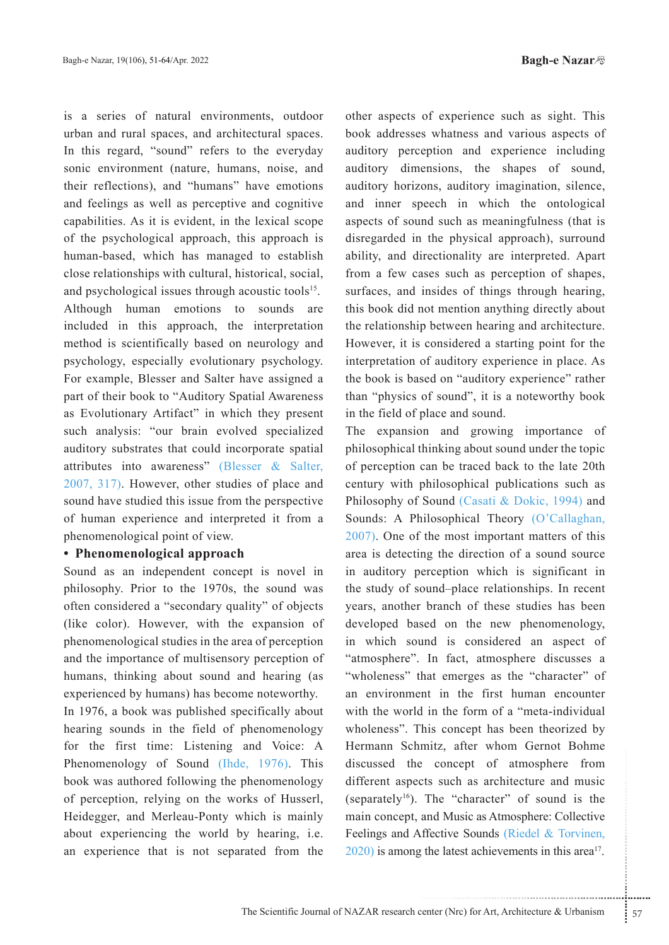**Bagh-e Nazar** 

is a series of natural environments, outdoor urban and rural spaces, and architectural spaces. In this regard, "sound" refers to the everyday sonic environment (nature, humans, noise, and their reflections), and "humans" have emotions and feelings as well as perceptive and cognitive capabilities. As it is evident, in the lexical scope of the psychological approach, this approach is human-based, which has managed to establish close relationships with cultural, historical, social, and psychological issues through acoustic tools<sup>15</sup>. Although human emotions to sounds are included in this approach, the interpretation method is scientifically based on neurology and psychology, especially evolutionary psychology. For example, Blesser and Salter have assigned a part of their book to "Auditory Spatial Awareness as Evolutionary Artifact" in which they present such analysis: "our brain evolved specialized auditory substrates that could incorporate spatial attributes into awareness" (Blesser & Salter, 2007, 317). However, other studies of place and sound have studied this issue from the perspective of human experience and interpreted it from a phenomenological point of view.

### • Phenomenological approach

Sound as an independent concept is novel in philosophy. Prior to the 1970s, the sound was often considered a "secondary quality" of objects (like color). However, with the expansion of phenomenological studies in the area of perception and the importance of multisensory perception of humans, thinking about sound and hearing (as experienced by humans) has become noteworthy. In 1976, a book was published specifically about hearing sounds in the field of phenomenology for the first time: Listening and Voice: A Phenomenology of Sound (Ihde, 1976). This book was authored following the phenomenology of perception, relying on the works of Husserl, Heidegger, and Merleau-Ponty which is mainly about experiencing the world by hearing, i.e. an experience that is not separated from the

other aspects of experience such as sight. This book addresses whatness and various aspects of auditory perception and experience including auditory dimensions, the shapes of sound, auditory horizons, auditory imagination, silence, and inner speech in which the ontological aspects of sound such as meaningfulness (that is disregarded in the physical approach), surround ability, and directionality are interpreted. Apart from a few cases such as perception of shapes, surfaces, and insides of things through hearing, this book did not mention anything directly about the relationship between hearing and architecture. However, it is considered a starting point for the interpretation of auditory experience in place. As the book is based on "auditory experience" rather than "physics of sound", it is a noteworthy book in the field of place and sound.

..................................................................... ....... ........ ........... ...... ....... ........ .......... ........... The expansion and growing importance of philosophical thinking about sound under the topic of perception can be traced back to the late 20th century with philosophical publications such as Philosophy of Sound (Casati & Dokic, 1994) and Sounds: A Philosophical Theory (O'Callaghan,  $2007$ ). One of the most important matters of this area is detecting the direction of a sound source in auditory perception which is significant in the study of sound-place relationships. In recent years, another branch of these studies has been developed based on the new phenomenology, in which sound is considered an aspect of "atmosphere". In fact, atmosphere discusses a " wholeness" that emerges as the "character" of an environment in the first human encounter with the world in the form of a "meta-individual wholeness". This concept has been theorized by Hermann Schmitz, after whom Gernot Bohme discussed the concept of atmosphere from different aspects such as architecture and music (separately<sup>16</sup>). The "character" of sound is the main concept, and Music as Atmosphere: Collective Feelings and Affective Sounds (Riedel & Torvinen,  $2020$ ) is among the latest achievements in this area<sup>17</sup>.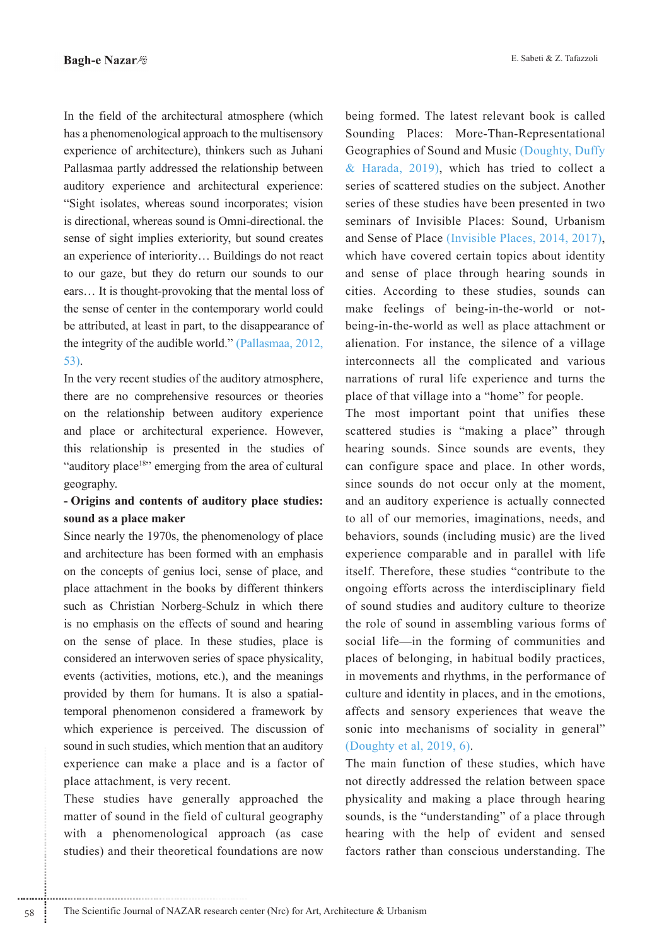In the field of the architectural atmosphere (which has a phenomenological approach to the multisensory experience of architecture), thinkers such as Juhani Pallasmaa partly addressed the relationship between auditory experience and architectural experience: "Sight isolates, whereas sound incorporates; vision is directional, whereas sound is Omni-directional, the sense of sight implies exteriority, but sound creates an experience of interiority... Buildings do not react to our gaze, but they do return our sounds to our ears... It is thought-provoking that the mental loss of the sense of center in the contemporary world could be attributed, at least in part, to the disappearance of the integrity of the audible world." (Pallasmaa, 2012,  $53$ ).

In the very recent studies of the auditory atmosphere, there are no comprehensive resources or theories on the relationship between auditory experience and place or architectural experience. However, this relationship is presented in the studies of "auditory place<sup>18"</sup> emerging from the area of cultural geography.

### - Origins and contents of auditory place studies: sound as a place maker

Since nearly the 1970s, the phenomenology of place and architecture has been formed with an emphasis on the concepts of genius loci, sense of place, and place attachment in the books by different thinkers such as Christian Norberg-Schulz in which there is no emphasis on the effects of sound and hearing on the sense of place. In these studies, place is considered an interwoven series of space physicality, events (activities, motions, etc.), and the meanings provided by them for humans. It is also a spatialtemporal phenomenon considered a framework by which experience is perceived. The discussion of sound in such studies, which mention that an auditory experience can make a place and is a factor of place attachment, is very recent.

These studies have generally approached the matter of sound in the field of cultural geography with a phenomenological approach (as case studies) and their theoretical foundations are now

being formed. The latest relevant book is called Sounding Places: More-Than-Representational Geographies of Sound and Music (Doughty, Duffy & Harada, 2019), which has tried to collect a series of scattered studies on the subject. Another series of these studies have been presented in two seminars of Invisible Places: Sound, Urbanism and Sense of Place (Invisible Places, 2014, 2017), which have covered certain topics about identity and sense of place through hearing sounds in cities. According to these studies, sounds can make feelings of being-in-the-world or notbeing-in-the-world as well as place attachment or alienation. For instance, the silence of a village interconnects all the complicated and various narrations of rural life experience and turns the place of that village into a "home" for people.

The most important point that unifies these scattered studies is "making a place" through hearing sounds. Since sounds are events, they can configure space and place. In other words, since sounds do not occur only at the moment, and an auditory experience is actually connected to all of our memories, imaginations, needs, and behaviors, sounds (including music) are the lived experience comparable and in parallel with life itself. Therefore, these studies "contribute to the ongoing efforts across the interdisciplinary field of sound studies and auditory culture to theorize the role of sound in assembling various forms of social life—in the forming of communities and places of belonging, in habitual bodily practices, in movements and rhythms, in the performance of culture and identity in places, and in the emotions, affects and sensory experiences that weave the sonic into mechanisms of sociality in general" (Doughty et al, 2019, 6).

The main function of these studies, which have not directly addressed the relation between space physicality and making a place through hearing sounds, is the "understanding" of a place through hearing with the help of evident and sensed factors rather than conscious understanding. The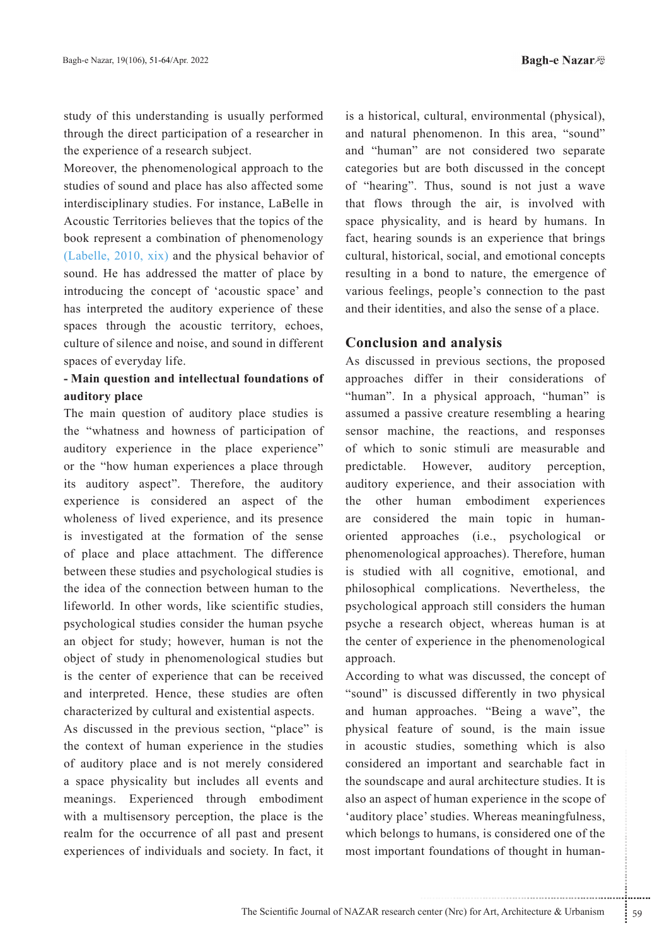study of this understanding is usually performed through the direct participation of a researcher in the experience of a research subject.

Moreover, the phenomenological approach to the studies of sound and place has also affected some interdisciplinary studies. For instance, LaBelle in Acoustic Territories believes that the topics of the book represent a combination of phenomenology (Labelle, 2010, xix) and the physical behavior of sound. He has addressed the matter of place by introducing the concept of 'acoustic space' and has interpreted the auditory experience of these spaces through the acoustic territory, echoes, culture of silence and noise, and sound in different spaces of everyday life.

### - Main question and intellectual foundations of auditory place

The main question of auditory place studies is the "whatness and howness of participation of auditory experience in the place experience" or the "how human experiences a place through its auditory aspect". Therefore, the auditory experience is considered an aspect of the wholeness of lived experience, and its presence is investigated at the formation of the sense of place and place attachment. The difference between these studies and psychological studies is the idea of the connection between human to the lifeworld. In other words, like scientific studies, psychological studies consider the human psyche an object for study; however, human is not the object of study in phenomenological studies but is the center of experience that can be received and interpreted. Hence, these studies are often characterized by cultural and existential aspects.

As discussed in the previous section, "place" is the context of human experience in the studies of auditory place and is not merely considered a space physicality but includes all events and meanings. Experienced through embodiment with a multisensory perception, the place is the realm for the occurrence of all past and present experiences of individuals and society. In fact, it is a historical, cultural, environmental (physical), and natural phenomenon. In this area, "sound" and "human" are not considered two separate categories but are both discussed in the concept of "hearing". Thus, sound is not just a wave that flows through the air, is involved with space physicality, and is heard by humans. In fact, hearing sounds is an experience that brings cultural, historical, social, and emotional concepts resulting in a bond to nature, the emergence of various feelings, people's connection to the past and their identities, and also the sense of a place.

## **Conclusion and analysis**

As discussed in previous sections, the proposed approaches differ in their considerations of "human". In a physical approach, "human" is assumed a passive creature resembling a hearing sensor machine, the reactions, and responses of which to sonic stimuli are measurable and predictable. However, auditory perception, auditory experience, and their association with the other human embodiment experiences are considered the main topic in humanoriented approaches (i.e., psychological or phenomenological approaches). Therefore, human is studied with all cognitive, emotional, and philosophical complications. Nevertheless, the psychological approach still considers the human psyche a research object, whereas human is at the center of experience in the phenomenological approach.

According to what was discussed, the concept of "sound" is discussed differently in two physical and human approaches. "Being a wave", the physical feature of sound, is the main issue in acoustic studies, something which is also considered an important and searchable fact in the soundscape and aural architecture studies. It is also an aspect of human experience in the scope of 'auditory place' studies. Whereas meaningfulness, which belongs to humans, is considered one of the most important foundations of thought in human-

 $\frac{1}{2}$  59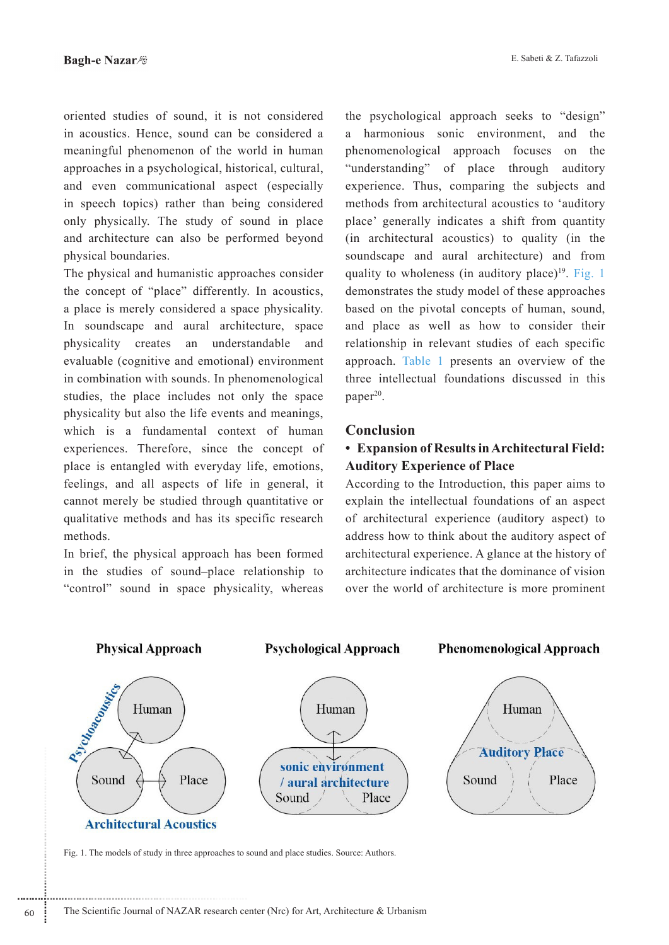oriented studies of sound, it is not considered in acoustics. Hence, sound can be considered a meaningful phenomenon of the world in human approaches in a psychological, historical, cultural, and even communicational aspect (especially in speech topics) rather than being considered only physically. The study of sound in place and architecture can also be performed beyond physical boundaries.

The physical and humanistic approaches consider the concept of "place" differently. In acoustics, a place is merely considered a space physicality. In soundscape and aural architecture, space physicality creates an understandable and evaluable (cognitive and emotional) environment in combination with sounds. In phenomenological studies, the place includes not only the space physicality but also the life events and meanings. which is a fundamental context of human experiences. Therefore, since the concept of place is entangled with everyday life, emotions, feelings, and all aspects of life in general, it cannot merely be studied through quantitative or qualitative methods and has its specific research .methods

In brief, the physical approach has been formed in the studies of sound-place relationship to "control" sound in space physicality, whereas

the psychological approach seeks to "design" a harmonious sonic environment, and the phenomenological approach focuses on the "understanding" of place through auditory experience. Thus, comparing the subjects and methods from architectural acoustics to 'auditory place' generally indicates a shift from quantity  $(in$  architectural acoustics) to quality  $(in$  the soundscape and aural architecture) and from quality to wholeness (in auditory place)<sup>19</sup>. Fig. 1 demonstrates the study model of these approaches based on the pivotal concepts of human, sound, and place as well as how to consider their relationship in relevant studies of each specific approach. Table 1 presents an overview of the three intellectual foundations discussed in this  $paper<sup>20</sup>$ .

### **Conclusion**

# **• Expansion of Results in Architectural Field: Auditory Experience of Place**

According to the Introduction, this paper aims to explain the intellectual foundations of an aspect of architectural experience (auditory aspect) to address how to think about the auditory aspect of architectural experience. A glance at the history of architecture indicates that the dominance of vision over the world of architecture is more prominent



Fig. 1. The models of study in three approaches to sound and place studies. Source: Authors.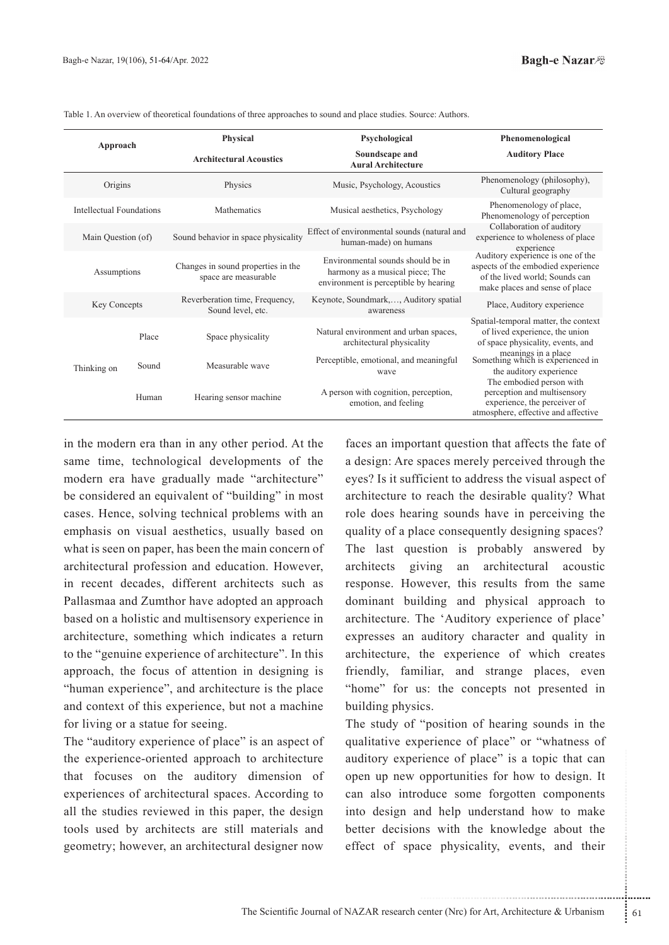Assumptions

Key Concepts

Thinking on

Phenomenology of perception

Collaboration of auditory experience to wholeness of place experience<br>Auditory experience is one of the

aspects of the embodied experience of the lived world; Sounds can make places and sense of place

Place, Auditory experience

Spatial-temporal matter, the context of lived experience, the union of space physicality, events, and meanings in a place

Something which is experienced in the auditory experience

The embodied person with perception and multisensory experience, the perceiver of atmosphere, effective and affective

| Approach                 | <b>Physical</b>                | Psychological                               | Phenomenological                                                                    |
|--------------------------|--------------------------------|---------------------------------------------|-------------------------------------------------------------------------------------|
|                          | <b>Architectural Acoustics</b> | Soundscape and<br><b>Aural Architecture</b> | <b>Auditory Place</b>                                                               |
| Origins                  | Physics                        | Music, Psychology, Acoustics                | Phenomenology (philosophy),<br>Cultural geography                                   |
| Intellectual Foundations | Mathematics                    | Musical aesthetics, Psychology              | Phenomenology of place,<br>$\mathbf{D}$ le en en en el estas el en en en en el en e |

human-made) on humans

Environmental sounds should be in harmony as a musical piece: The environment is perceptible by hearing

Keynote, Soundmark,..., Auditory spatial

awareness

Natural environment and urban spaces,

architectural physicality

Perceptible, emotional, and meaningful

wave

A person with cognition, perception,

emotion, and feeling

Table 1. An overview of theoretical foundations of three approaches to sound and place studies. Source: Authors.

Main Question (of  $\mu$  Sound behavior in space physicality  $\mu$  Effect of environmental sounds (natural and

Changes in sound properties in the

space are measurable

Reverberation time, Frequency,

Sound level, etc.

Place Space physicality

Sound Measurable wave

Human Hearing sensor machine

in the modern era than in any other period. At the same time, technological developments of the modern era have gradually made "architecture" be considered an equivalent of "building" in most cases. Hence, solving technical problems with an emphasis on visual aesthetics, usually based on what is seen on paper, has been the main concern of architectural profession and education. However, in recent decades, different architects such as Pallasmaa and Zumthor have adopted an approach based on a holistic and multisensory experience in architecture, something which indicates a return to the "genuine experience of architecture". In this approach, the focus of attention in designing is "human experience", and architecture is the place and context of this experience, but not a machine for living or a statue for seeing.

The "auditory experience of place" is an aspect of the experience-oriented approach to architecture that focuses on the auditory dimension of experiences of architectural spaces. According to all the studies reviewed in this paper, the design tools used by architects are still materials and geometry; however, an architectural designer now

faces an important question that affects the fate of a design: Are spaces merely perceived through the eyes? Is it sufficient to address the visual aspect of architecture to reach the desirable quality? What role does hearing sounds have in perceiving the quality of a place consequently designing spaces? The last question is probably answered by architects giving an architectural acoustic response. However, this results from the same dominant building and physical approach to architecture. The 'Auditory experience of place' expresses an auditory character and quality in architecture, the experience of which creates friendly, familiar, and strange places, even "home" for us: the concepts not presented in building physics.

rience of place" is a topic that can<br>opportunities for how to design. It<br>duce some forgotten components<br>md help understand how to make<br>ns with the knowledge about the<br>ce physicality, events, and their<br>enter (Nrc) for Art, The study of "position of hearing sounds in the qualitative experience of place" or "whatness of auditory experience of place" is a topic that can open up new opportunities for how to design. It can also introduce some forgotten components into design and help understand how to make better decisions with the knowledge about the effect of space physicality, events, and their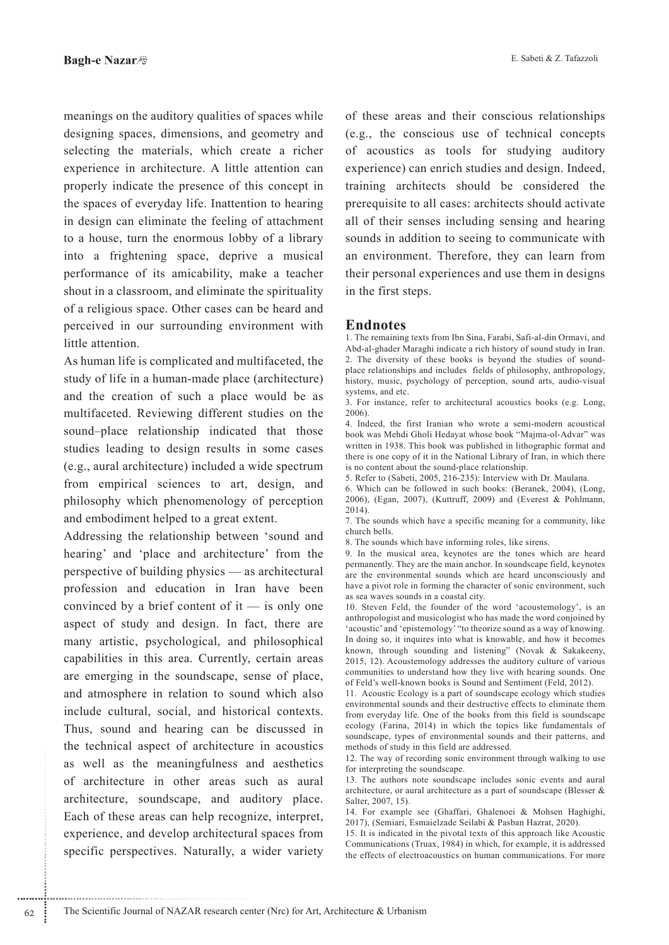meanings on the auditory qualities of spaces while designing spaces, dimensions, and geometry and selecting the materials, which create a richer experience in architecture. A little attention can properly indicate the presence of this concept in the spaces of everyday life. Inattention to hearing in design can eliminate the feeling of attachment to a house, turn the enormous lobby of a library into a frightening space, deprive a musical performance of its amicability, make a teacher shout in a classroom, and eliminate the spirituality of a religious space. Other cases can be heard and perceived in our surrounding environment with little attention.

As human life is complicated and multifaceted, the study of life in a human-made place (architecture) and the creation of such a place would be as multifaceted. Reviewing different studies on the sound-place relationship indicated that those studies leading to design results in some cases (e.g., aural architecture) included a wide spectrum from empirical sciences to art, design, and philosophy which phenomenology of perception and embodiment helped to a great extent.

Addressing the relationship between 'sound and hearing' and 'place and architecture' from the perspective of building physics — as architectural profession and education in Iran have been convinced by a brief content of it  $-$  is only one aspect of study and design. In fact, there are many artistic, psychological, and philosophical capabilities in this area. Currently, certain areas are emerging in the soundscape, sense of place, and atmosphere in relation to sound which also include cultural, social, and historical contexts. Thus, sound and hearing can be discussed in the technical aspect of architecture in acoustics as well as the meaningfulness and aesthetics of architecture in other areas such as aural architecture, soundscape, and auditory place. Each of these areas can help recognize, interpret, experience, and develop architectural spaces from specific perspectives. Naturally, a wider variety

of these areas and their conscious relationships (e.g., the conscious use of technical concepts of acoustics as tools for studying auditory experience) can enrich studies and design. Indeed, training architects should be considered the prerequisite to all cases: architects should activate all of their senses including sensing and hearing sounds in addition to seeing to communicate with an environment. Therefore, they can learn from their personal experiences and use them in designs in the first steps.

### **Endnotes**

1. The remaining texts from Ibn Sina, Farabi, Safi-al-din Ormavi, and Abd-al-ghader Maraghi indicate a rich history of sound study in Iran. 2. The diversity of these books is beyond the studies of soundplace relationships and includes fields of philosophy, anthropology, history, music, psychology of perception, sound arts, audio-visual systems, and etc.

3. For instance, refer to architectural acoustics books (e.g. Long,  $2006$ ).

4. Indeed, the first Iranian who wrote a semi-modern acoustical book was Mehdi Gholi Hedayat whose book "Majma-ol-Advar" was written in 1938. This book was published in lithographic format and there is one copy of it in the National Library of Iran, in which there is no content about the sound-place relationship.

5. Refer to (Sabeti, 2005, 216-235): Interview with Dr. Maulana.

6. Which can be followed in such books: (Beranek, 2004), (Long, 2006), (Egan, 2007), (Kuttruff, 2009) and (Everest & Pohlmann,  $2014$ ).

7. The sounds which have a specific meaning for a community, like church bells.

8. The sounds which have informing roles, like sirens.

9. In the musical area, keynotes are the tones which are heard permanently. They are the main anchor. In soundscape field, keynotes are the environmental sounds which are heard unconsciously and have a pivot role in forming the character of sonic environment, such as sea waves sounds in a coastal city.

10. Steven Feld, the founder of the word 'acoustemology', is an anthropologist and musicologist who has made the word conjoined by 'acoustic' and 'epistemology' "to theorize sound as a way of knowing. In doing so, it inquires into what is knowable, and how it becomes known, through sounding and listening" (Novak & Sakakeeny, 2015, 12). Acoustemology addresses the auditory culture of various communities to understand how they live with hearing sounds. One of Feld's well-known books is Sound and Sentiment (Feld, 2012).

11. Acoustic Ecology is a part of soundscape ecology which studies environmental sounds and their destructive effects to eliminate them from everyday life. One of the books from this field is soundscape ecology (Farina, 2014) in which the topics like fundamentals of soundscape, types of environmental sounds and their patterns, and methods of study in this field are addressed.

12. The way of recording sonic environment through walking to use for interpreting the soundscape.

13. The authors note soundscape includes sonic events and aural architecture, or aural architecture as a part of soundscape (Blesser & Salter, 2007, 15).

14. For example see (Ghaffari, Ghalenoei & Mohsen Haghighi, 2017). (Semiari, Esmaielzade Seilabi & Pasban Hazrat, 2020).

15. It is indicated in the pivotal texts of this approach like Acoustic Communications (Truax, 1984) in which, for example, it is addressed the effects of electroacoustics on human communications. For more

62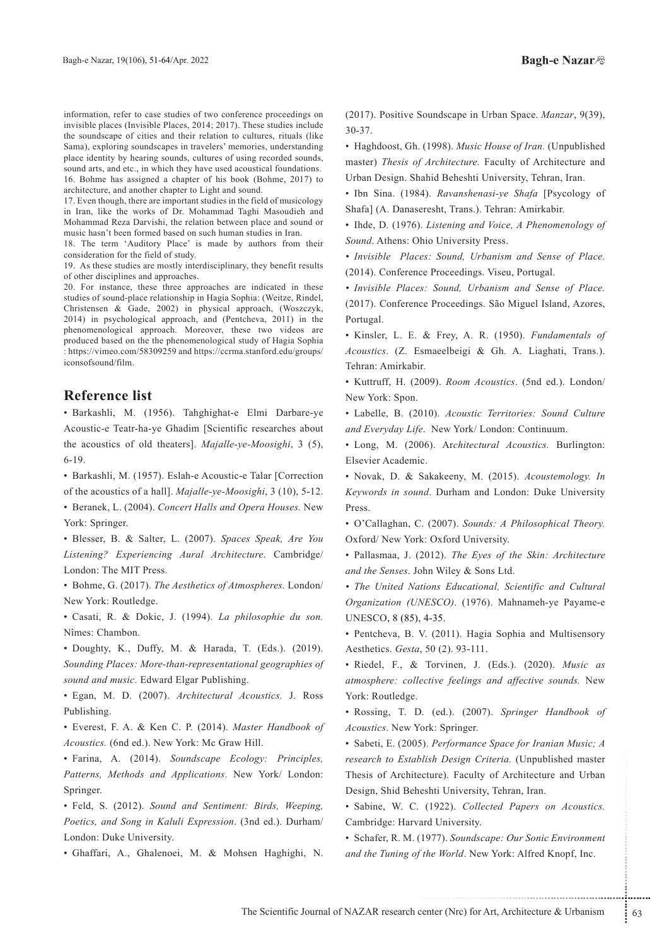information, refer to case studies of two conference proceedings on invisible places (Invisible Places, 2014; 2017). These studies include the soundscape of cities and their relation to cultures, rituals (like Sama), exploring soundscapes in travelers' memories, understanding place identity by hearing sounds, cultures of using recorded sounds, sound arts, and etc., in which they have used acoustical foundations. 16. Bohme has assigned a chapter of his book (Bohme, 2017) to architecture, and another chapter to Light and sound.

17. Even though, there are important studies in the field of musicology in Iran, like the works of Dr. Mohammad Taghi Masoudieh and Mohammad Reza Darvishi, the relation between place and sound or music hasn't been formed based on such human studies in Iran.

18. The term 'Auditory Place' is made by authors from their consideration for the field of study.

19. As these studies are mostly interdisciplinary, they benefit results of other disciplines and approaches.

20. For instance, these three approaches are indicated in these studies of sound-place relationship in Hagia Sophia: (Weitze, Rindel, Christensen & Gade, 2002) in physical approach, (Woszczyk, 2014) in psychological approach, and (Pentcheva, 2011) in the phenomenological approach. Moreover, these two videos are produced based on the the phenomenological study of Hagia Sophia : https://vimeo.com/58309259 and https://ccrma.stanford.edu/groups/ iconsofsound/film.

### **Reference** list

• Barkashli, M. (1956). Tahghighat-e Elmi Darbare-ye Acoustic-e Teatr-ha-ye Ghadim [Scientific researches about the acoustics of old theaters]. *Majalle-ye-Moosighi*, 3 (5), 6-19.

• Barkashli, M. (1957). Eslah-e Acoustic-e Talar [Correction] of the acoustics of a hall]. *Majalle-ye-Moosighi*, 3 (10), 5-12.

• Beranek, L. (2004). Concert Halls and Opera Houses. New York: Springer.

**·** Blesser, B. & Salter, L. (2007). Spaces Speak, Are You Listening? Experiencing Aural Architecture. Cambridge/ London: The MIT Press.

• Bohme, G. (2017). The Aesthetics of Atmospheres. London/ New York: Routledge.

**·** Casati, R. & Dokic, J. (1994). La philosophie du son. Nîmes: Chambon.

• Doughty, K., Duffy, M. & Harada, T. (Eds.). (2019). *Sounding Places: More-than-representational geographies of* sound and music. Edward Elgar Publishing.

• Egan, M. D. (2007). Architectural Acoustics. J. Ross .Publishing

• Everest, F. A. & Ken C. P. (2014). Master Handbook of Acoustics. (6nd ed.). New York: Mc Graw Hill.

• Farina, A. (2014). Soundscape *Ecology: Principles*, Patterns, Methods and Applications. New York/ London: Springer.

**• Feld. S.** (2012). Sound and Sentiment: Birds. Weeping. Poetics, and Song in Kaluli Expression. (3nd ed.). Durham/ London: Duke University.

· Ghaffari, A., Ghalenoei, M. & Mohsen Haghighi, N.

(2017). Positive Soundscape in Urban Space. Manzar, 9(39), 30-37.

• Haghdoost, Gh. (1998). Music House of Iran. (Unpublished master) Thesis of Architecture. Faculty of Architecture and Urban Design. Shahid Beheshti University, Tehran, Iran.

• Ibn Sina. (1984). Ravanshenasi-ye Shafa [Psycology of Shafa] (A. Danaseresht, Trans.). Tehran: Amirkabir.

• Ihde, D. (1976). *Listening and Voice, A Phenomenology of* Sound. Athens: Ohio University Press.

• Invisible Places: Sound, Urbanism and Sense of Place. (2014). Conference Proceedings. Viseu, Portugal.

 $\bullet$  Invisible Places: Sound, Urbanism and Sense of Place. (2017). Conference Proceedings. São Miguel Island, Azores, Portugal.

• Kinsler, L. E. & Frey, A. R. (1950). Fundamentals of Acoustics. (Z. Esmaeelbeigi & Gh. A. Liaghati, Trans.). Tehran: Amirkabir.

• Kuttruff, H. (2009). Room Acoustics. (5nd ed.). London/ New York: Spon.

• Labelle, B. (2010). Acoustic Territories: Sound Culture and Everyday Life. New York/ London: Continuum.

 $\cdot$  Long, M. (2006). Architectural Acoustics. Burlington: Elsevier Academic.

• Novak, D. & Sakakeeny, M. (2015). Acoustemology. In Keywords in sound. Durham and London: Duke University Press.

• O'Callaghan, C. (2007). Sounds: A Philosophical Theory. Oxford/ New York: Oxford University.

• Pallasmaa, J. (2012). The Eyes of the Skin: Architecture and the Senses. John Wiley & Sons Ltd.

• The United Nations Educational, Scientific and Cultural Organization (UNESCO). (1976). Mahnameh-ye Payame-e UNESCO, 8 (85), 4-35.

• Pentcheva, B. V. (2011). Hagia Sophia and Multisensory Aesthetics. Gesta, 50 (2). 93-111.

**• Riedel, F., & Torvinen, J. (Eds.).** (2020). *Music as* atmosphere: collective feelings and affective sounds. New York: Routledge.

• Rossing, T. D. (ed.). (2007). Springer Handbook of Acoustics. New York: Springer.

Vish Design Criteria. (Unpublished master<br>
cture). Faculty of Architecture and Urban<br>
eshti University, Tehran, Iran.<br>
(1922). Collected Papers on Acoustics.<br>
and University.<br>
1977). Soundscape: Our Sonic Environment<br>
inte • Sabeti, E. (2005). Performance Space for Iranian Music; A research to Establish Design Criteria. (Unpublished master Thesis of Architecture). Faculty of Architecture and Urban Design, Shid Beheshti University, Tehran, Iran.

• Sabine, W. C. (1922). Collected Papers on Acoustics. Cambridge: Harvard University.

• Schafer, R. M. (1977). Soundscape: Our Sonic Environment and the Tuning of the World. New York: Alfred Knopf, Inc.